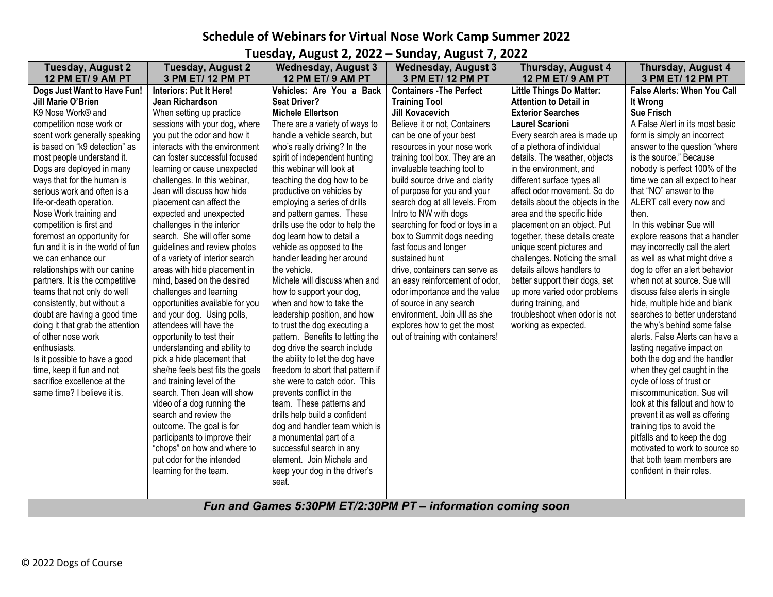## **Schedule of Webinars for Virtual Nose Work Camp Summer 2022**

**Tuesday, August 2, 2022 – Sunday, August 7, 2022**

| <b>Tuesday, August 2</b><br>12 PM ET/ 9 AM PT                                                                                                                                                                                                                                                                                                                                                                                                                                                                                                                                                                                                                                                                                                                                                                                                    | <b>Tuesday, August 2</b><br>3 PM ET/ 12 PM PT                                                                                                                                                                                                                                                                                                                                                                                                                                                                                                                                                                                                                                                                                                                                                                                                                                                                                         | <b>Wednesday, August 3</b><br>12 PM ET/ 9 AM PT                                                                                                                                                                                                                                                                                                                                                                                                                                                                                                                                                                                                                                                                                                                                                                                                                                                                                            | <b>Wednesday, August 3</b><br>3 PM ET/ 12 PM PT                                                                                                                                                                                                                                                                                                                                                                                                                                                                                                                                                                                                                                                                            | <b>Thursday, August 4</b><br>12 PM ET/ 9 AM PT                                                                                                                                                                                                                                                                                                                                                                                                                                                                                                                                                                                                                                                     | <b>Thursday, August 4</b><br>3 PM ET/ 12 PM PT                                                                                                                                                                                                                                                                                                                                                                                                                                                                                                                                                                                                                                                                                                                                                                                                                                                                                             |  |  |  |
|--------------------------------------------------------------------------------------------------------------------------------------------------------------------------------------------------------------------------------------------------------------------------------------------------------------------------------------------------------------------------------------------------------------------------------------------------------------------------------------------------------------------------------------------------------------------------------------------------------------------------------------------------------------------------------------------------------------------------------------------------------------------------------------------------------------------------------------------------|---------------------------------------------------------------------------------------------------------------------------------------------------------------------------------------------------------------------------------------------------------------------------------------------------------------------------------------------------------------------------------------------------------------------------------------------------------------------------------------------------------------------------------------------------------------------------------------------------------------------------------------------------------------------------------------------------------------------------------------------------------------------------------------------------------------------------------------------------------------------------------------------------------------------------------------|--------------------------------------------------------------------------------------------------------------------------------------------------------------------------------------------------------------------------------------------------------------------------------------------------------------------------------------------------------------------------------------------------------------------------------------------------------------------------------------------------------------------------------------------------------------------------------------------------------------------------------------------------------------------------------------------------------------------------------------------------------------------------------------------------------------------------------------------------------------------------------------------------------------------------------------------|----------------------------------------------------------------------------------------------------------------------------------------------------------------------------------------------------------------------------------------------------------------------------------------------------------------------------------------------------------------------------------------------------------------------------------------------------------------------------------------------------------------------------------------------------------------------------------------------------------------------------------------------------------------------------------------------------------------------------|----------------------------------------------------------------------------------------------------------------------------------------------------------------------------------------------------------------------------------------------------------------------------------------------------------------------------------------------------------------------------------------------------------------------------------------------------------------------------------------------------------------------------------------------------------------------------------------------------------------------------------------------------------------------------------------------------|--------------------------------------------------------------------------------------------------------------------------------------------------------------------------------------------------------------------------------------------------------------------------------------------------------------------------------------------------------------------------------------------------------------------------------------------------------------------------------------------------------------------------------------------------------------------------------------------------------------------------------------------------------------------------------------------------------------------------------------------------------------------------------------------------------------------------------------------------------------------------------------------------------------------------------------------|--|--|--|
| Dogs Just Want to Have Fun!<br>Jill Marie O'Brien<br>K9 Nose Work® and<br>competition nose work or<br>scent work generally speaking<br>is based on "k9 detection" as<br>most people understand it.<br>Dogs are deployed in many<br>ways that for the human is<br>serious work and often is a<br>life-or-death operation.<br>Nose Work training and<br>competition is first and<br>foremost an opportunity for<br>fun and it is in the world of fun<br>we can enhance our<br>relationships with our canine<br>partners. It is the competitive<br>teams that not only do well<br>consistently, but without a<br>doubt are having a good time<br>doing it that grab the attention<br>of other nose work<br>enthusiasts.<br>Is it possible to have a good<br>time, keep it fun and not<br>sacrifice excellence at the<br>same time? I believe it is. | Interiors: Put It Here!<br>Jean Richardson<br>When setting up practice<br>sessions with your dog, where<br>you put the odor and how it<br>interacts with the environment<br>can foster successful focused<br>learning or cause unexpected<br>challenges. In this webinar,<br>Jean will discuss how hide<br>placement can affect the<br>expected and unexpected<br>challenges in the interior<br>search. She will offer some<br>quidelines and review photos<br>of a variety of interior search<br>areas with hide placement in<br>mind, based on the desired<br>challenges and learning<br>opportunities available for you<br>and your dog. Using polls,<br>attendees will have the<br>opportunity to test their<br>understanding and ability to<br>pick a hide placement that<br>she/he feels best fits the goals<br>and training level of the<br>search. Then Jean will show<br>video of a dog running the<br>search and review the | Vehicles: Are You a Back<br><b>Seat Driver?</b><br><b>Michele Ellertson</b><br>There are a variety of ways to<br>handle a vehicle search, but<br>who's really driving? In the<br>spirit of independent hunting<br>this webinar will look at<br>teaching the dog how to be<br>productive on vehicles by<br>employing a series of drills<br>and pattern games. These<br>drills use the odor to help the<br>dog learn how to detail a<br>vehicle as opposed to the<br>handler leading her around<br>the vehicle.<br>Michele will discuss when and<br>how to support your dog,<br>when and how to take the<br>leadership position, and how<br>to trust the dog executing a<br>pattern. Benefits to letting the<br>dog drive the search include<br>the ability to let the dog have<br>freedom to abort that pattern if<br>she were to catch odor. This<br>prevents conflict in the<br>team. These patterns and<br>drills help build a confident | <b>Containers - The Perfect</b><br><b>Training Tool</b><br><b>Jill Kovacevich</b><br>Believe it or not, Containers<br>can be one of your best<br>resources in your nose work<br>training tool box. They are an<br>invaluable teaching tool to<br>build source drive and clarity<br>of purpose for you and your<br>search dog at all levels. From<br>Intro to NW with dogs<br>searching for food or toys in a<br>box to Summit dogs needing<br>fast focus and longer<br>sustained hunt<br>drive, containers can serve as<br>an easy reinforcement of odor,<br>odor importance and the value<br>of source in any search<br>environment. Join Jill as she<br>explores how to get the most<br>out of training with containers! | <b>Little Things Do Matter:</b><br><b>Attention to Detail in</b><br><b>Exterior Searches</b><br><b>Laurel Scarioni</b><br>Every search area is made up<br>of a plethora of individual<br>details. The weather, objects<br>in the environment, and<br>different surface types all<br>affect odor movement. So do<br>details about the objects in the<br>area and the specific hide<br>placement on an object. Put<br>together, these details create<br>unique scent pictures and<br>challenges. Noticing the small<br>details allows handlers to<br>better support their dogs, set<br>up more varied odor problems<br>during training, and<br>troubleshoot when odor is not<br>working as expected. | <b>False Alerts: When You Call</b><br>It Wrong<br><b>Sue Frisch</b><br>A False Alert in its most basic<br>form is simply an incorrect<br>answer to the question "where<br>is the source." Because<br>nobody is perfect 100% of the<br>time we can all expect to hear<br>that "NO" answer to the<br>ALERT call every now and<br>then.<br>In this webinar Sue will<br>explore reasons that a handler<br>may incorrectly call the alert<br>as well as what might drive a<br>dog to offer an alert behavior<br>when not at source. Sue will<br>discuss false alerts in single<br>hide, multiple hide and blank<br>searches to better understand<br>the why's behind some false<br>alerts. False Alerts can have a<br>lasting negative impact on<br>both the dog and the handler<br>when they get caught in the<br>cycle of loss of trust or<br>miscommunication. Sue will<br>look at this fallout and how to<br>prevent it as well as offering |  |  |  |
|                                                                                                                                                                                                                                                                                                                                                                                                                                                                                                                                                                                                                                                                                                                                                                                                                                                  | outcome. The goal is for<br>participants to improve their                                                                                                                                                                                                                                                                                                                                                                                                                                                                                                                                                                                                                                                                                                                                                                                                                                                                             | dog and handler team which is<br>a monumental part of a                                                                                                                                                                                                                                                                                                                                                                                                                                                                                                                                                                                                                                                                                                                                                                                                                                                                                    |                                                                                                                                                                                                                                                                                                                                                                                                                                                                                                                                                                                                                                                                                                                            |                                                                                                                                                                                                                                                                                                                                                                                                                                                                                                                                                                                                                                                                                                    | training tips to avoid the<br>pitfalls and to keep the dog                                                                                                                                                                                                                                                                                                                                                                                                                                                                                                                                                                                                                                                                                                                                                                                                                                                                                 |  |  |  |
|                                                                                                                                                                                                                                                                                                                                                                                                                                                                                                                                                                                                                                                                                                                                                                                                                                                  | "chops" on how and where to<br>put odor for the intended<br>learning for the team.                                                                                                                                                                                                                                                                                                                                                                                                                                                                                                                                                                                                                                                                                                                                                                                                                                                    | successful search in any<br>element. Join Michele and<br>keep your dog in the driver's<br>seat.                                                                                                                                                                                                                                                                                                                                                                                                                                                                                                                                                                                                                                                                                                                                                                                                                                            |                                                                                                                                                                                                                                                                                                                                                                                                                                                                                                                                                                                                                                                                                                                            |                                                                                                                                                                                                                                                                                                                                                                                                                                                                                                                                                                                                                                                                                                    | motivated to work to source so<br>that both team members are<br>confident in their roles.                                                                                                                                                                                                                                                                                                                                                                                                                                                                                                                                                                                                                                                                                                                                                                                                                                                  |  |  |  |
| Fun and Games 5:30PM ET/2:30PM PT - information coming soon                                                                                                                                                                                                                                                                                                                                                                                                                                                                                                                                                                                                                                                                                                                                                                                      |                                                                                                                                                                                                                                                                                                                                                                                                                                                                                                                                                                                                                                                                                                                                                                                                                                                                                                                                       |                                                                                                                                                                                                                                                                                                                                                                                                                                                                                                                                                                                                                                                                                                                                                                                                                                                                                                                                            |                                                                                                                                                                                                                                                                                                                                                                                                                                                                                                                                                                                                                                                                                                                            |                                                                                                                                                                                                                                                                                                                                                                                                                                                                                                                                                                                                                                                                                                    |                                                                                                                                                                                                                                                                                                                                                                                                                                                                                                                                                                                                                                                                                                                                                                                                                                                                                                                                            |  |  |  |